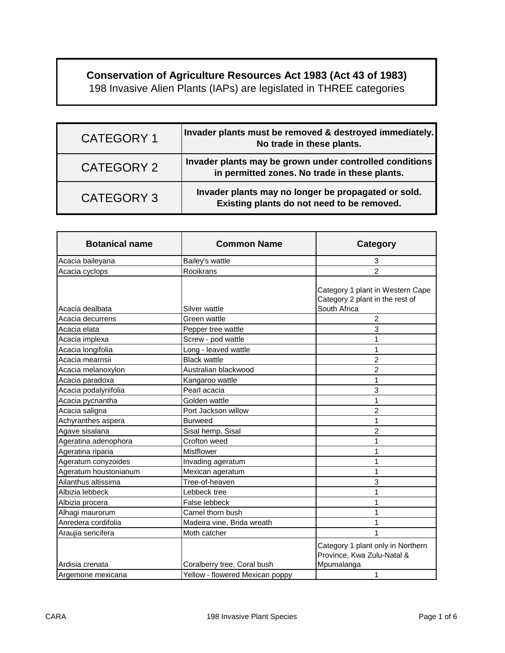## **Conservation of Agriculture Resources Act 1983 (Act 43 of 1983)**

198 Invasive Alien Plants (IAPs) are legislated in THREE categories

| <b>CATEGORY 1</b> | Invader plants must be removed & destroyed immediately.<br>No trade in these plants.                     |
|-------------------|----------------------------------------------------------------------------------------------------------|
| CATEGORY 2        | Invader plants may be grown under controlled conditions<br>in permitted zones. No trade in these plants. |
| <b>CATEGORY 3</b> | Invader plants may no longer be propagated or sold.<br>Existing plants do not need to be removed.        |

| <b>Botanical name</b> | <b>Common Name</b>              | <b>Category</b>                                                                     |
|-----------------------|---------------------------------|-------------------------------------------------------------------------------------|
| Acacia baileyana      | Bailey's wattle                 | 3                                                                                   |
| Acacia cyclops        | Rooikrans                       | $\overline{2}$                                                                      |
| Acacia dealbata       | Silver wattle                   | Category 1 plant in Western Cape<br>Category 2 plant in the rest of<br>South Africa |
| Acacia decurrens      | Green wattle                    | $\overline{2}$                                                                      |
| Acacia elata          | Pepper tree wattle              | 3                                                                                   |
| Acacia implexa        | Screw - pod wattle              |                                                                                     |
| Acacia longifolia     | Long - leaved wattle            |                                                                                     |
| Acacia mearnsii       | <b>Black wattle</b>             | $\overline{c}$                                                                      |
| Acacia melanoxylon    | Australian blackwood            | $\overline{2}$                                                                      |
| Acacia paradoxa       | Kangaroo wattle                 | 1                                                                                   |
| Acacia podalyriifolia | Pearl acacia                    | 3                                                                                   |
| Acacia pycnantha      | Golden wattle                   | 1                                                                                   |
| Acacia saligna        | Port Jackson willow             | $\overline{2}$                                                                      |
| Achyranthes aspera    | <b>Burweed</b>                  | 1                                                                                   |
| Agave sisalana        | Sisal hemp, Sisal               | $\overline{2}$                                                                      |
| Ageratina adenophora  | Crofton weed                    |                                                                                     |
| Ageratina riparia     | <b>Mistflower</b>               |                                                                                     |
| Ageratum conyzoides   | Invading ageratum               | 1                                                                                   |
| Ageratum houstonianum | Mexican ageratum                | 1                                                                                   |
| Ailanthus altissima   | Tree-of-heaven                  | 3                                                                                   |
| Albizia lebbeck       | Lebbeck tree                    |                                                                                     |
| Albizia procera       | False lebbeck                   |                                                                                     |
| Alhagi maurorum       | Camel thorn bush                | 1                                                                                   |
| Anredera cordifolia   | Madeira vine, Brida wreath      | 1                                                                                   |
| Araujia sericifera    | Moth catcher                    |                                                                                     |
| Ardisia crenata       | Coralberry tree, Coral bush     | Category 1 plant only in Northern<br>Province, Kwa Zulu-Natal &<br>Mpumalanga       |
| Argemone mexicana     | Yellow - flowered Mexican poppy | 1                                                                                   |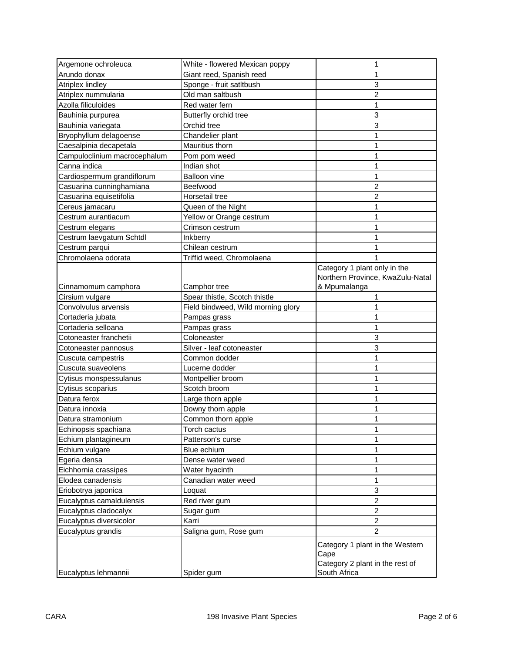| Argemone ochroleuca          | White - flowered Mexican poppy     | 1                                       |
|------------------------------|------------------------------------|-----------------------------------------|
| Arundo donax                 | Giant reed, Spanish reed           |                                         |
| Atriplex lindley             | Sponge - fruit satltbush           | 3                                       |
| Atriplex nummularia          | Old man saltbush                   | $\overline{2}$                          |
| Azolla filiculoides          | Red water fern                     | 1                                       |
| Bauhinia purpurea            | Butterfly orchid tree              | 3                                       |
| Bauhinia variegata           | Orchid tree                        | 3                                       |
| Bryophyllum delagoense       | Chandelier plant                   | 1                                       |
| Caesalpinia decapetala       | Mauritius thorn                    | 1                                       |
| Campuloclinium macrocephalum | Pom pom weed                       | 1                                       |
| Canna indica                 | Indian shot                        | 1                                       |
| Cardiospermum grandiflorum   | <b>Balloon vine</b>                | 1                                       |
| Casuarina cunninghamiana     | Beefwood                           | 2                                       |
| Casuarina equisetifolia      | Horsetail tree                     | $\overline{2}$                          |
| Cereus jamacaru              | Queen of the Night                 | 1                                       |
| Cestrum aurantiacum          | Yellow or Orange cestrum           |                                         |
| Cestrum elegans              | Crimson cestrum                    |                                         |
| Cestrum laevgatum Schtdl     | Inkberry                           | 1                                       |
| Cestrum parqui               | Chilean cestrum                    |                                         |
| Chromolaena odorata          | Triffid weed, Chromolaena          |                                         |
|                              |                                    | Category 1 plant only in the            |
|                              |                                    | Northern Province, KwaZulu-Natal        |
| Cinnamomum camphora          | Camphor tree                       | & Mpumalanga                            |
| Cirsium vulgare              | Spear thistle, Scotch thistle      |                                         |
| Convolvulus arvensis         | Field bindweed, Wild morning glory |                                         |
| Cortaderia jubata            | Pampas grass                       |                                         |
| Cortaderia selloana          | Pampas grass                       | 1                                       |
| Cotoneaster franchetii       | Coloneaster                        | 3                                       |
| Cotoneaster pannosus         | Silver - leaf cotoneaster          | 3                                       |
| Cuscuta campestris           | Common dodder                      | 1                                       |
| Cuscuta suaveolens           | Lucerne dodder                     | 1                                       |
| Cytisus monspessulanus       | Montpellier broom                  | 1                                       |
| Cytisus scoparius            | Scotch broom                       | 1                                       |
| Datura ferox                 | Large thorn apple                  | 1                                       |
| Datura innoxia               | Downy thorn apple                  | 1                                       |
| Datura stramonium            | Common thorn apple                 | 1                                       |
| Echinopsis spachiana         | Torch cactus                       | 1                                       |
| Echium plantagineum          | Patterson's curse                  | 1                                       |
| Echium vulgare               | Blue echium                        | 1                                       |
| Egeria densa                 | Dense water weed                   | 1                                       |
| Eichhornia crassipes         | Water hyacinth                     | 1                                       |
| Elodea canadensis            | Canadian water weed                | 1                                       |
| Eriobotrya japonica          | Loquat                             | 3                                       |
| Eucalyptus camaldulensis     | Red river gum                      | $\overline{2}$                          |
| Eucalyptus cladocalyx        | Sugar gum                          | $\overline{2}$                          |
| Eucalyptus diversicolor      | Karri                              | $\overline{2}$                          |
| Eucalyptus grandis           | Saligna gum, Rose gum              | $\overline{2}$                          |
|                              |                                    |                                         |
|                              |                                    | Category 1 plant in the Western<br>Cape |
|                              |                                    | Category 2 plant in the rest of         |
| Eucalyptus lehmannii         | Spider gum                         | South Africa                            |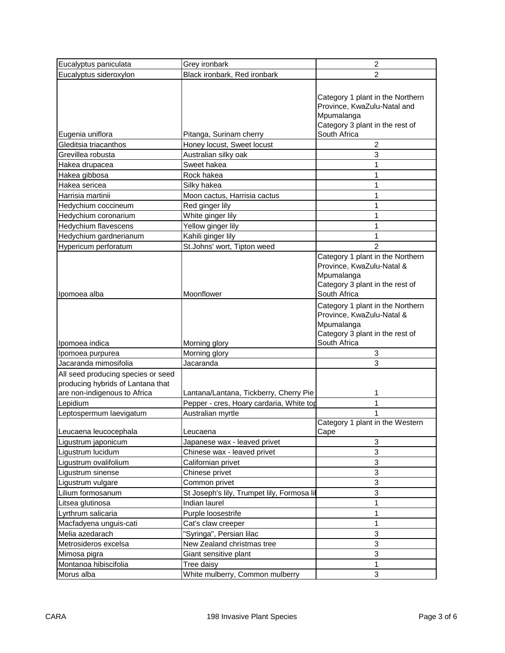| Eucalyptus paniculata                                                                                   | Grey ironbark                               | $\boldsymbol{2}$                                                                                                               |
|---------------------------------------------------------------------------------------------------------|---------------------------------------------|--------------------------------------------------------------------------------------------------------------------------------|
| Eucalyptus sideroxylon                                                                                  | Black ironbark, Red ironbark                | 2                                                                                                                              |
|                                                                                                         |                                             | Category 1 plant in the Northern<br>Province, KwaZulu-Natal and<br>Mpumalanga<br>Category 3 plant in the rest of               |
| Eugenia uniflora                                                                                        | Pitanga, Surinam cherry                     | South Africa                                                                                                                   |
| Gleditsia triacanthos                                                                                   | Honey locust, Sweet locust                  | 2                                                                                                                              |
| Grevillea robusta                                                                                       | Australian silky oak                        | 3                                                                                                                              |
| Hakea drupacea                                                                                          | Sweet hakea                                 | 1                                                                                                                              |
| Hakea gibbosa                                                                                           | Rock hakea                                  | 1                                                                                                                              |
| Hakea sericea                                                                                           | Silky hakea                                 | 1                                                                                                                              |
| Harrisia martinii                                                                                       | Moon cactus, Harrisia cactus                | 1                                                                                                                              |
| Hedychium coccineum                                                                                     | Red ginger lily                             | 1                                                                                                                              |
| Hedychium coronarium                                                                                    | White ginger lily                           | 1                                                                                                                              |
| Hedychium flavescens                                                                                    | Yellow ginger lily                          | 1                                                                                                                              |
| Hedychium gardnerianum                                                                                  | Kahili ginger lily                          | 1                                                                                                                              |
| Hypericum perforatum                                                                                    | St.Johns' wort, Tipton weed                 | $\overline{2}$                                                                                                                 |
| Ipomoea alba                                                                                            | Moonflower                                  | Category 1 plant in the Northern<br>Province, KwaZulu-Natal &<br>Mpumalanga<br>Category 3 plant in the rest of<br>South Africa |
| Ipomoea indica                                                                                          | Morning glory                               | Category 1 plant in the Northern<br>Province, KwaZulu-Natal &<br>Mpumalanga<br>Category 3 plant in the rest of<br>South Africa |
| Ipomoea purpurea                                                                                        | Morning glory                               | 3                                                                                                                              |
| Jacaranda mimosifolia                                                                                   | Jacaranda                                   | 3                                                                                                                              |
| All seed producing species or seed<br>producing hybrids of Lantana that<br>are non-indigenous to Africa | Lantana/Lantana, Tickberry, Cherry Pie      | 1                                                                                                                              |
| Lepidium                                                                                                | Pepper - cres, Hoary cardaria, White top    | 1                                                                                                                              |
| Leptospermum laevigatum                                                                                 | Australian myrtle                           |                                                                                                                                |
| Leucaena leucocephala                                                                                   | Leucaena                                    | Category 1 plant in the Western<br>Cape                                                                                        |
| Ligustrum japonicum                                                                                     | Japanese wax - leaved privet                | 3                                                                                                                              |
| Ligustrum lucidum                                                                                       | Chinese wax - leaved privet                 | 3                                                                                                                              |
| Ligustrum ovalifolium                                                                                   | Californian privet                          | 3                                                                                                                              |
| Ligustrum sinense                                                                                       | Chinese privet                              | 3                                                                                                                              |
| Ligustrum vulgare                                                                                       | Common privet                               | 3                                                                                                                              |
| Lilium formosanum                                                                                       | St Joseph's lily, Trumpet lily, Formosa lil | 3                                                                                                                              |
| Litsea glutinosa                                                                                        | Indian laurel                               | 1                                                                                                                              |
| Lyrthrum salicaria                                                                                      | Purple loosestrife                          | 1                                                                                                                              |
| Macfadyena unguis-cati                                                                                  | Cat's claw creeper                          | 1                                                                                                                              |
| Melia azedarach                                                                                         | "Syringa", Persian lilac                    | 3                                                                                                                              |
| Metrosideros excelsa                                                                                    | New Zealand christmas tree                  | 3                                                                                                                              |
| Mimosa pigra                                                                                            | Giant sensitive plant                       | 3                                                                                                                              |
| Montanoa hibiscifolia                                                                                   | Tree daisy                                  | 1                                                                                                                              |
| Morus alba                                                                                              | White mulberry, Common mulberry             | 3                                                                                                                              |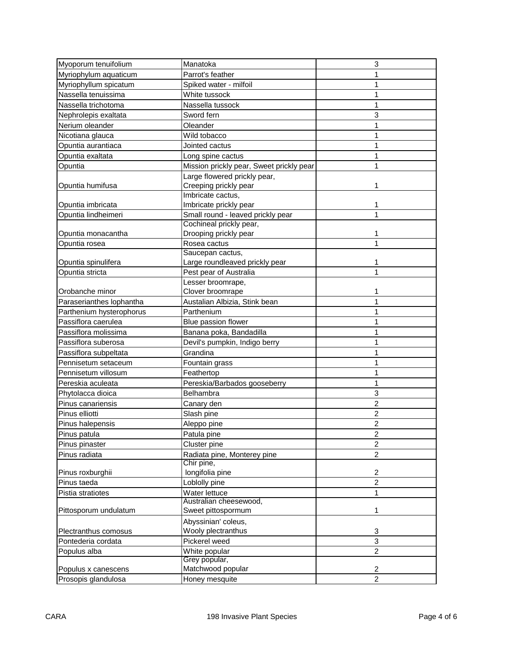| Myoporum tenuifolium     | Manatoka                                 | 3              |
|--------------------------|------------------------------------------|----------------|
| Myriophylum aquaticum    | Parrot's feather                         | 1              |
| Myriophyllum spicatum    | Spiked water - milfoil                   | 1              |
| Nassella tenuissima      | White tussock                            | 1              |
| Nassella trichotoma      | Nassella tussock                         | 1              |
| Nephrolepis exaltata     | Sword fern                               | 3              |
| Nerium oleander          | Oleander                                 | 1              |
| Nicotiana glauca         | Wild tobacco                             | 1              |
| Opuntia aurantiaca       | Jointed cactus                           | 1              |
| Opuntia exaltata         | Long spine cactus                        | 1              |
| Opuntia                  | Mission prickly pear, Sweet prickly pear | 1              |
|                          | Large flowered prickly pear,             |                |
| Opuntia humifusa         | Creeping prickly pear                    |                |
|                          | Imbricate cactus,                        |                |
| Opuntia imbricata        | Imbricate prickly pear                   | 1              |
| Opuntia lindheimeri      | Small round - leaved prickly pear        | 1              |
|                          | Cochineal prickly pear,                  |                |
| Opuntia monacantha       | Drooping prickly pear                    | 1              |
| Opuntia rosea            | Rosea cactus                             | 1              |
|                          | Saucepan cactus,                         |                |
| Opuntia spinulifera      | Large roundleaved prickly pear           | 1              |
| Opuntia stricta          | Pest pear of Australia                   | 1              |
|                          | Lesser broomrape,                        |                |
| Orobanche minor          | Clover broomrape                         | 1              |
| Paraserianthes lophantha | Austalian Albizia, Stink bean            | 1              |
| Parthenium hysterophorus | Parthenium                               | 1              |
| Passiflora caerulea      | Blue passion flower                      | 1              |
| Passiflora molissima     | Banana poka, Bandadilla                  | 1              |
| Passiflora suberosa      | Devil's pumpkin, Indigo berry            | 1              |
| Passiflora subpeltata    | Grandina                                 | 1              |
| Pennisetum setaceum      | Fountain grass                           | 1              |
| Pennisetum villosum      | Feathertop                               | 1              |
| Pereskia aculeata        | Pereskia/Barbados gooseberry             | 1              |
| Phytolacca dioica        | Belhambra                                | 3              |
| Pinus canariensis        | Canary den                               | $\overline{c}$ |
| Pinus elliotti           | Slash pine                               | $\overline{2}$ |
| Pinus halepensis         | Aleppo pine                              | $\overline{2}$ |
| Pinus patula             | Patula pine                              | $\overline{2}$ |
| Pinus pinaster           | Cluster pine                             | $\overline{2}$ |
| Pinus radiata            | Radiata pine, Monterey pine              | $\overline{a}$ |
|                          | Chir pine,                               |                |
| Pinus roxburghii         | longifolia pine                          | 2              |
| Pinus taeda              | Loblolly pine                            | $\overline{2}$ |
| Pistia stratiotes        | Water lettuce                            | 1              |
|                          | Australian cheesewood,                   |                |
| Pittosporum undulatum    | Sweet pittospormum                       | 1              |
|                          | Abyssinian' coleus,                      |                |
| Plectranthus comosus     | Wooly plectranthus                       | 3              |
| Pontederia cordata       | Pickerel weed                            | 3              |
| Populus alba             | White popular                            | $\overline{2}$ |
|                          | Grey popular,                            |                |
| Populus x canescens      | Matchwood popular                        | 2              |
| Prosopis glandulosa      | Honey mesquite                           | $\overline{2}$ |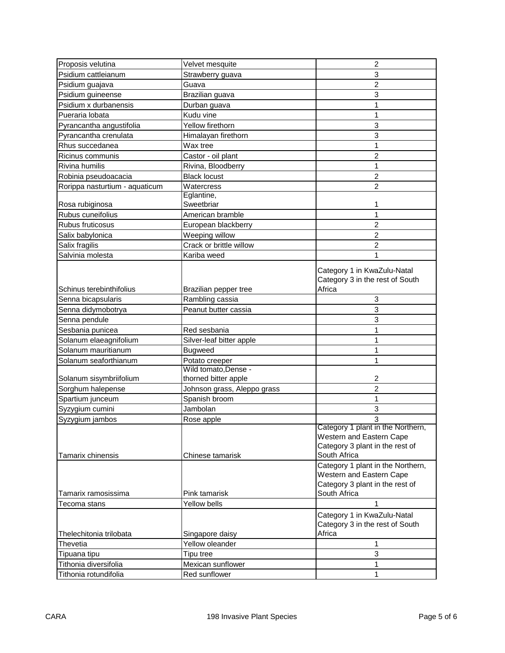| Proposis velutina              | Velvet mesquite                              | $\overline{c}$                    |
|--------------------------------|----------------------------------------------|-----------------------------------|
| Psidium cattleianum            | Strawberry guava                             | 3                                 |
| Psidium guajava                | Guava                                        | $\overline{2}$                    |
| Psidium guineense              | Brazilian guava                              | 3                                 |
| Psidium x durbanensis          | Durban guava                                 | 1                                 |
| Pueraria lobata                | Kudu vine                                    | 1                                 |
| Pyrancantha angustifolia       | Yellow firethorn                             | 3                                 |
| Pyrancantha crenulata          | Himalayan firethorn                          | 3                                 |
| Rhus succedanea                | Wax tree                                     | 1                                 |
| Ricinus communis               | Castor - oil plant                           | 2                                 |
| <b>Rivina humilis</b>          | Rivina, Bloodberry                           | 1                                 |
| Robinia pseudoacacia           | <b>Black locust</b>                          | $\overline{2}$                    |
| Rorippa nasturtium - aquaticum | Watercress                                   | $\overline{2}$                    |
|                                | Eglantine,                                   |                                   |
| Rosa rubiginosa                | Sweetbriar                                   | 1                                 |
| Rubus cuneifolius              | American bramble                             | 1                                 |
| Rubus fruticosus               | European blackberry                          | 2                                 |
| Salix babylonica               | Weeping willow                               | $\overline{c}$                    |
| Salix fragilis                 | Crack or brittle willow                      | $\overline{2}$                    |
| Salvinia molesta               | Kariba weed                                  | 1                                 |
|                                |                                              |                                   |
|                                |                                              | Category 1 in KwaZulu-Natal       |
|                                |                                              | Category 3 in the rest of South   |
| Schinus terebinthifolius       | Brazilian pepper tree                        | Africa                            |
| Senna bicapsularis             | Rambling cassia                              | 3                                 |
| Senna didymobotrya             | Peanut butter cassia                         | 3                                 |
| Senna pendule                  |                                              | 3                                 |
| Sesbania punicea               | Red sesbania                                 | 1                                 |
| Solanum elaeagnifolium         | Silver-leaf bitter apple                     | 1                                 |
| Solanum mauritianum            | <b>Bugweed</b>                               | 1                                 |
| Solanum seaforthianum          | Potato creeper                               | 1                                 |
| Solanum sisymbriifolium        | Wild tomato, Dense -<br>thorned bitter apple | 2                                 |
| Sorghum halepense              | Johnson grass, Aleppo grass                  | $\overline{2}$                    |
| Spartium junceum               | Spanish broom                                | 1                                 |
| Syzygium cumini                | Jambolan                                     | 3                                 |
|                                |                                              | 3                                 |
| Syzygium jambos                | Rose apple                                   | Category 1 plant in the Northern, |
|                                |                                              | Western and Eastern Cape          |
|                                |                                              | Category 3 plant in the rest of   |
| Tamarix chinensis              | Chinese tamarisk                             | South Africa                      |
|                                |                                              | Category 1 plant in the Northern, |
|                                |                                              | Western and Eastern Cape          |
|                                |                                              | Category 3 plant in the rest of   |
| Tamarix ramosissima            | Pink tamarisk                                | South Africa                      |
| Tecoma stans                   | Yellow bells                                 | 1                                 |
|                                |                                              | Category 1 in KwaZulu-Natal       |
|                                |                                              | Category 3 in the rest of South   |
| Thelechitonia trilobata        | Singapore daisy                              | Africa                            |
| Thevetia                       | Yellow oleander                              | 1                                 |
| Tipuana tipu                   | Tipu tree                                    | 3                                 |
| Tithonia diversifolia          | Mexican sunflower                            | 1                                 |
| Tithonia rotundifolia          | Red sunflower                                | 1                                 |